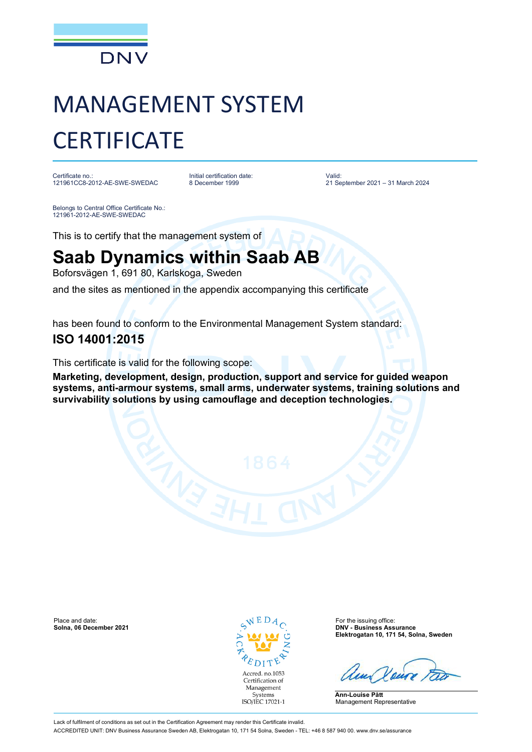

# MANAGEMENT SYSTEM **CERTIFICATE**

Certificate no.: 121961CC8-2012-AE-SWE-SWEDAC Initial certification date: 8 December 1999

Valid: 21 September 2021 – 31 March 2024

Belongs to Central Office Certificate No.: 121961-2012-AE-SWE-SWEDAC

This is to certify that the management system of

## **Saab Dynamics within Saab AB**

Boforsvägen 1, 691 80, Karlskoga, Sweden

and the sites as mentioned in the appendix accompanying this certificate

has been found to conform to the Environmental Management System standard:

### **ISO 14001:2015**

This certificate is valid for the following scope:

**Marketing, development, design, production, support and service for guided weapon systems, anti-armour systems, small arms, underwater systems, training solutions and survivability solutions by using camouflage and deception technologies.**

Place and date: **For the issuing office:** For the issuing office: **Solna, 06 December 2021 Company of the issuing office: Solna, 06 December 2021** 



**Solna, 06 December 2021 DNV - Business Assurance Elektrogatan 10, 171 54, Solna, Sweden**

**Ann-Louise Pått** Management Representative

Lack of fulfilment of conditions as set out in the Certification Agreement may render this Certificate invalid. ACCREDITED UNIT: DNV Business Assurance Sweden AB, Elektrogatan 10, 171 54 Solna, Sweden - TEL: +46 8 587 940 00. www.dnv.se/assurance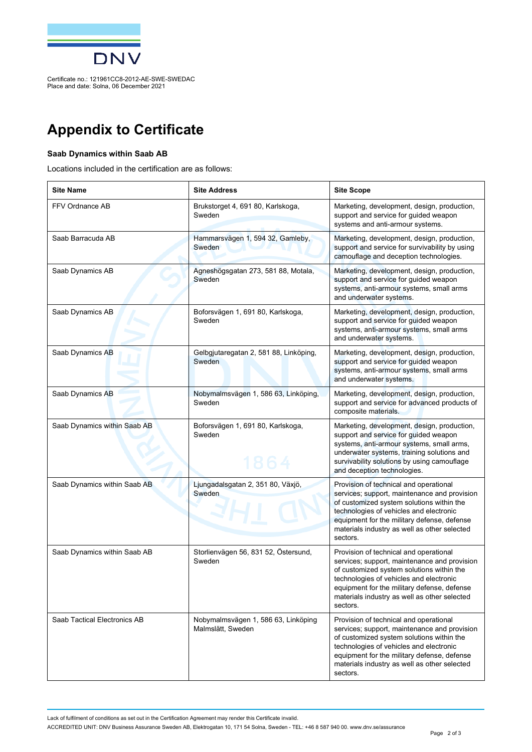

Certificate no.: 121961CC8-2012-AE-SWE-SWEDAC Place and date: Solna, 06 December 2021

## **Appendix to Certificate**

#### **Saab Dynamics within Saab AB**

Locations included in the certification are as follows:

| <b>Site Name</b>             | <b>Site Address</b>                                      | <b>Site Scope</b>                                                                                                                                                                                                                                                                         |
|------------------------------|----------------------------------------------------------|-------------------------------------------------------------------------------------------------------------------------------------------------------------------------------------------------------------------------------------------------------------------------------------------|
| FFV Ordnance AB              | Brukstorget 4, 691 80, Karlskoga,<br>Sweden              | Marketing, development, design, production,<br>support and service for quided weapon<br>systems and anti-armour systems.                                                                                                                                                                  |
| Saab Barracuda AB            | Hammarsvägen 1, 594 32, Gamleby,<br>Sweden               | Marketing, development, design, production,<br>support and service for survivability by using<br>camouflage and deception technologies.                                                                                                                                                   |
| Saab Dynamics AB             | Agneshögsgatan 273, 581 88, Motala,<br>Sweden            | Marketing, development, design, production,<br>support and service for guided weapon<br>systems, anti-armour systems, small arms<br>and underwater systems.                                                                                                                               |
| Saab Dynamics AB             | Boforsvägen 1, 691 80, Karlskoga,<br>Sweden              | Marketing, development, design, production,<br>support and service for guided weapon<br>systems, anti-armour systems, small arms<br>and underwater systems.                                                                                                                               |
| Saab Dynamics AB             | Gelbgjutaregatan 2, 581 88, Linköping,<br>Sweden         | Marketing, development, design, production,<br>support and service for quided weapon<br>systems, anti-armour systems, small arms<br>and underwater systems.                                                                                                                               |
| Saab Dynamics AB             | Nobymalmsvägen 1, 586 63, Linköping,<br>Sweden           | Marketing, development, design, production,<br>support and service for advanced products of<br>composite materials.                                                                                                                                                                       |
| Saab Dynamics within Saab AB | Boforsvägen 1, 691 80, Karlskoga,<br>Sweden<br>1864      | Marketing, development, design, production,<br>support and service for guided weapon<br>systems, anti-armour systems, small arms,<br>underwater systems, training solutions and<br>survivability solutions by using camouflage<br>and deception technologies.                             |
| Saab Dynamics within Saab AB | Ljungadalsgatan 2, 351 80, Växjö,<br>Sweden              | Provision of technical and operational<br>services; support, maintenance and provision<br>of customized system solutions within the<br>technologies of vehicles and electronic<br>equipment for the military defense, defense<br>materials industry as well as other selected<br>sectors. |
| Saab Dynamics within Saab AB | Storlienvägen 56, 831 52, Östersund,<br>Sweden           | Provision of technical and operational<br>services; support, maintenance and provision<br>of customized system solutions within the<br>technologies of vehicles and electronic<br>equipment for the military defense, defense<br>materials industry as well as other selected<br>sectors. |
| Saab Tactical Electronics AB | Nobymalmsvägen 1, 586 63, Linköping<br>Malmslätt, Sweden | Provision of technical and operational<br>services; support, maintenance and provision<br>of customized system solutions within the<br>technologies of vehicles and electronic<br>equipment for the military defense, defense<br>materials industry as well as other selected<br>sectors. |

Lack of fulfilment of conditions as set out in the Certification Agreement may render this Certificate invalid.

ACCREDITED UNIT: DNV Business Assurance Sweden AB, Elektrogatan 10, 171 54 Solna, Sweden - TEL: +46 8 587 940 00. www.dnv.se/assurance